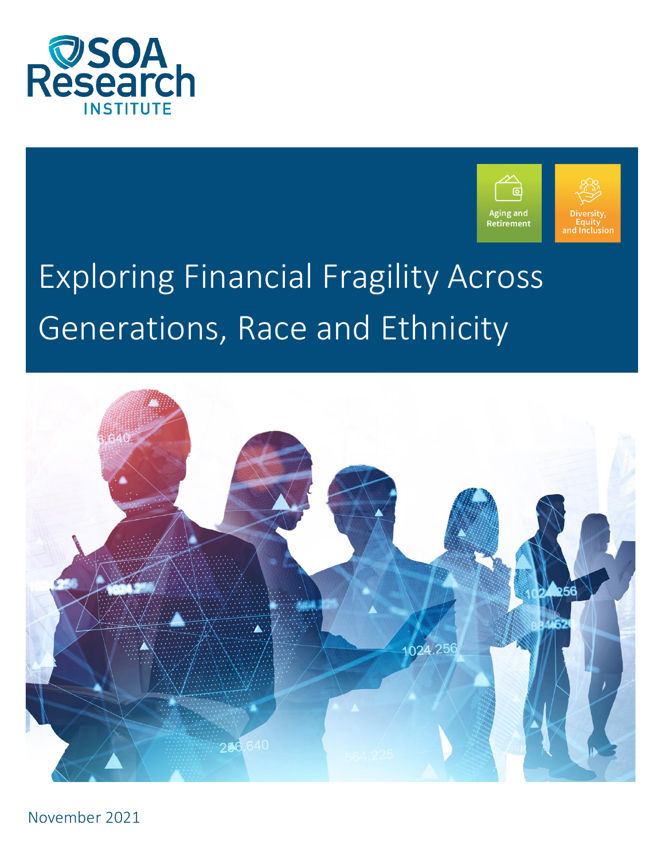



# Exploring Financial Fragility Across Generations, Race and Ethnicity



November 2021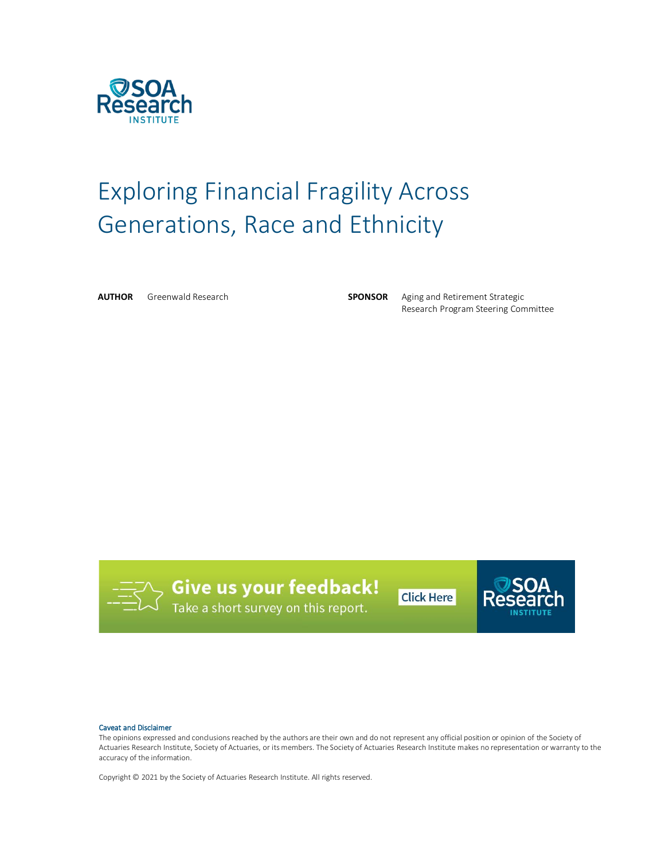

# Exploring Financial Fragility Across Generations, Race and Ethnicity

**AUTHOR** Greenwald Research **SPONSOR** Aging and Retirement Strategic

Research Program Steering Committee



**Give us your feedback!**<br>Take a short survey on this report.

**Click Here** 



#### Caveat and Disclaimer

The opinions expressed and conclusions reached by the authors are their own and do not represent any official position or opinion of the Society of Actuaries Research Institute, Society of Actuaries, or its members. The Society of Actuaries Research Institute makes no representation or warranty to the accuracy of the information.

Copyright © 2021 by the Society of Actuaries Research Institute. All rights reserved.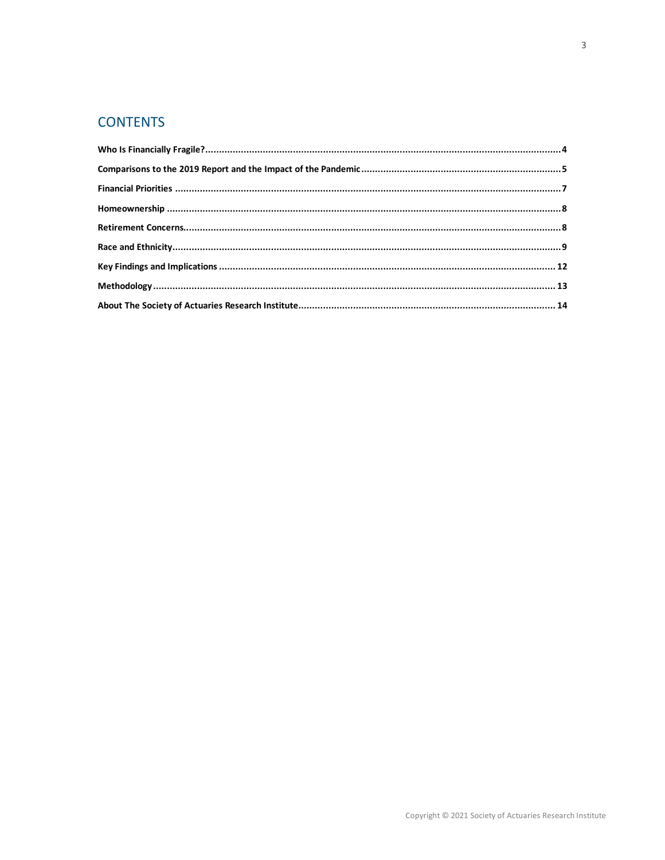# **CONTENTS**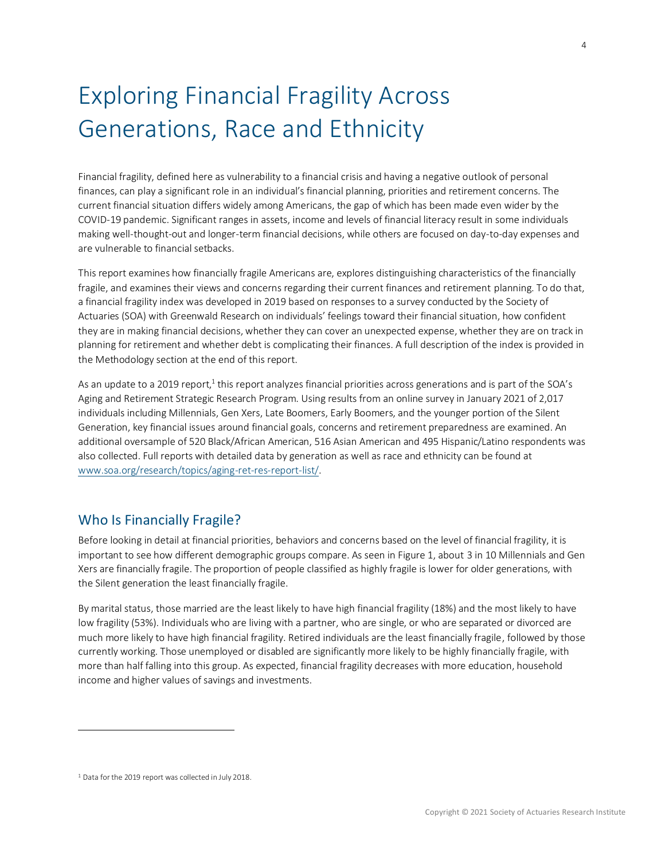# Exploring Financial Fragility Across Generations, Race and Ethnicity

Financial fragility, defined here as vulnerability to a financial crisis and having a negative outlook of personal finances, can play a significant role in an individual's financial planning, priorities and retirement concerns. The current financial situation differs widely among Americans, the gap of which has been made even wider by the COVID-19 pandemic. Significant ranges in assets, income and levels of financial literacy result in some individuals making well-thought-out and longer-term financial decisions, while others are focused on day-to-day expenses and are vulnerable to financial setbacks.

This report examines how financially fragile Americans are, explores distinguishing characteristics of the financially fragile, and examines their views and concerns regarding their current finances and retirement planning. To do that, a financial fragility index was developed in 2019 based on responses to a survey conducted by the Society of Actuaries (SOA) with Greenwald Research on individuals' feelings toward their financial situation, how confident they are in making financial decisions, whether they can cover an unexpected expense, whether they are on track in planning for retirement and whether debt is complicating their finances. A full description of the index is provided in the Methodology section at the end of this report.

As an update to a 2019 report, $^1$  this report analyzes financial priorities across generations and is part of the SOA's Aging and Retirement Strategic Research Program. Using results from an online survey in January 2021 of 2,017 individuals including Millennials, Gen Xers, Late Boomers, Early Boomers, and the younger portion of the Silent Generation, key financial issues around financial goals, concerns and retirement preparedness are examined. An additional oversample of 520 Black/African American, 516 Asian American and 495 Hispanic/Latino respondents was also collected. Full reports with detailed data by generation as well as race and ethnicity can be found at [www.soa.org/research/topics/aging-ret-res-report-list/.](http://www.soa.org/research/topics/aging-ret-res-report-list/)

## <span id="page-3-0"></span>Who Is Financially Fragile?

Before looking in detail at financial priorities, behaviors and concerns based on the level of financial fragility, it is important to see how different demographic groups compare. As seen in Figure 1, about 3 in 10 Millennials and Gen Xers are financially fragile. The proportion of people classified as highly fragile is lower for older generations, with the Silent generation the least financially fragile.

By marital status, those married are the least likely to have high financial fragility (18%) and the most likely to have low fragility (53%). Individuals who are living with a partner, who are single, or who are separated or divorced are much more likely to have high financial fragility. Retired individuals are the least financially fragile, followed by those currently working. Those unemployed or disabled are significantly more likely to be highly financially fragile, with more than half falling into this group. As expected, financial fragility decreases with more education, household income and higher values of savings and investments.

<sup>1</sup> Data for the 2019 report was collected in July 2018.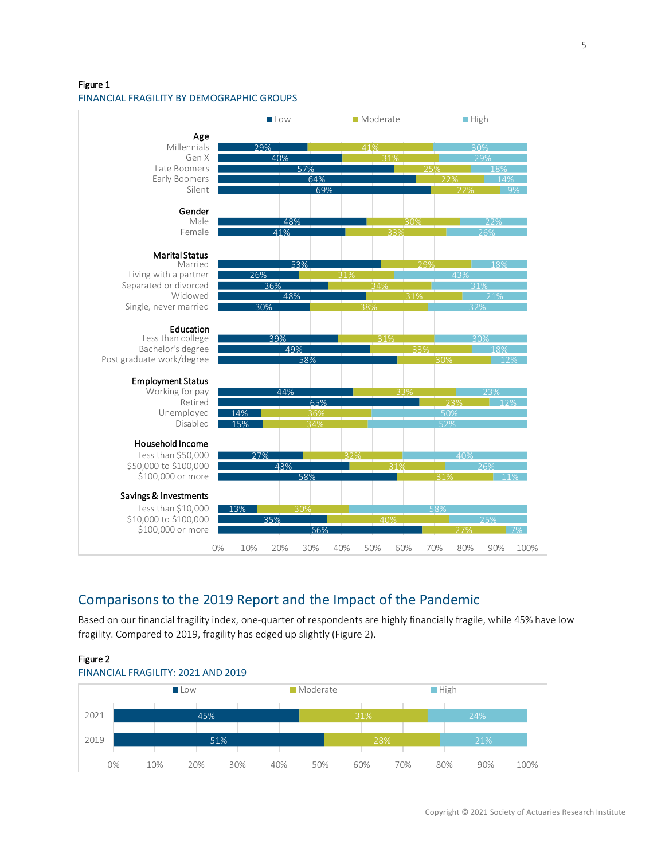Figure 1

#### FINANCIAL FRAGILITY BY DEMOGRAPHIC GROUPS



# <span id="page-4-0"></span>Comparisons to the 2019 Report and the Impact of the Pandemic

Based on our financial fragility index, one-quarter of respondents are highly financially fragile, while 45% have low fragility. Compared to 2019, fragility has edged up slightly (Figure 2).



#### Copyright © 2021 Society of Actuaries Research Institute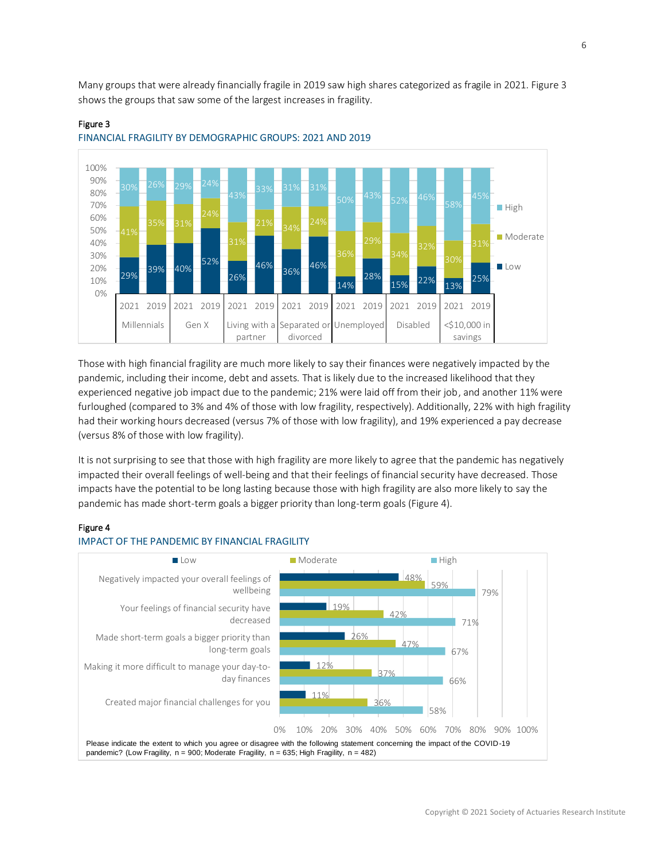Many groups that were already financially fragile in 2019 saw high shares categorized as fragile in 2021. Figure 3 shows the groups that saw some of the largest increases in fragility.



#### Figure 3



Those with high financial fragility are much more likely to say their finances were negatively impacted by the pandemic, including their income, debt and assets. That is likely due to the increased likelihood that they experienced negative job impact due to the pandemic; 21% were laid off from their job, and another 11% were furloughed (compared to 3% and 4% of those with low fragility, respectively). Additionally, 22% with high fragility had their working hours decreased (versus 7% of those with low fragility), and 19% experienced a pay decrease (versus 8% of those with low fragility).

It is not surprising to see that those with high fragility are more likely to agree that the pandemic has negatively impacted their overall feelings of well-being and that their feelings of financial security have decreased. Those impacts have the potential to be long lasting because those with high fragility are also more likely to say the pandemic has made short-term goals a bigger priority than long-term goals (Figure 4).

#### Figure 4



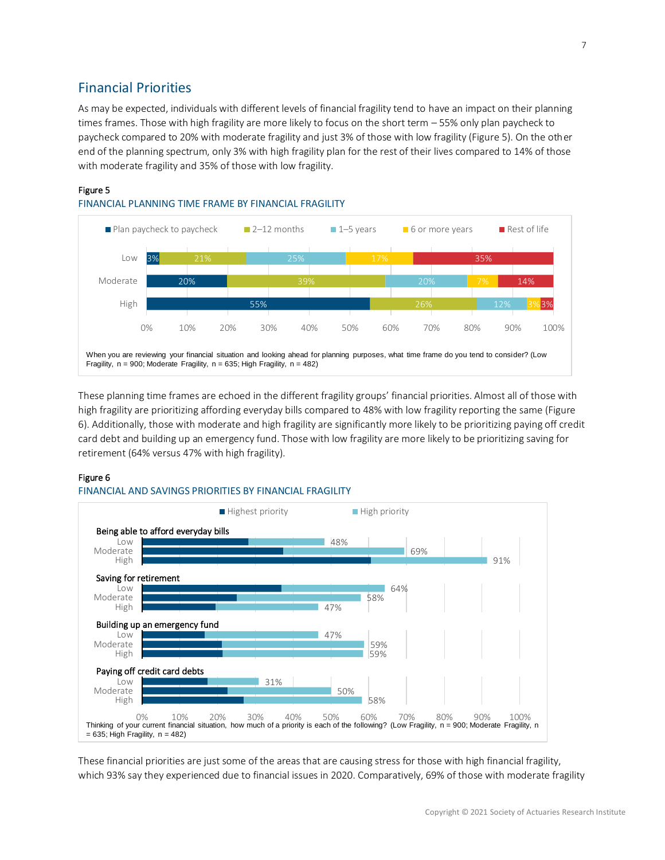# <span id="page-6-0"></span>Financial Priorities

As may be expected, individuals with different levels of financial fragility tend to have an impact on their planning times frames. Those with high fragility are more likely to focus on the short term – 55% only plan paycheck to paycheck compared to 20% with moderate fragility and just 3% of those with low fragility (Figure 5). On the other end of the planning spectrum, only 3% with high fragility plan for the rest of their lives compared to 14% of those with moderate fragility and 35% of those with low fragility.

#### Figure 5





These planning time frames are echoed in the different fragility groups' financial priorities. Almost all of those with high fragility are prioritizing affording everyday bills compared to 48% with low fragility reporting the same (Figure 6). Additionally, those with moderate and high fragility are significantly more likely to be prioritizing paying off credit card debt and building up an emergency fund. Those with low fragility are more likely to be prioritizing saving for retirement (64% versus 47% with high fragility).

#### Figure 6

#### FINANCIAL AND SAVINGS PRIORITIES BY FINANCIAL FRAGILITY



These financial priorities are just some of the areas that are causing stress for those with high financial fragility, which 93% say they experienced due to financial issues in 2020. Comparatively, 69% of those with moderate fragility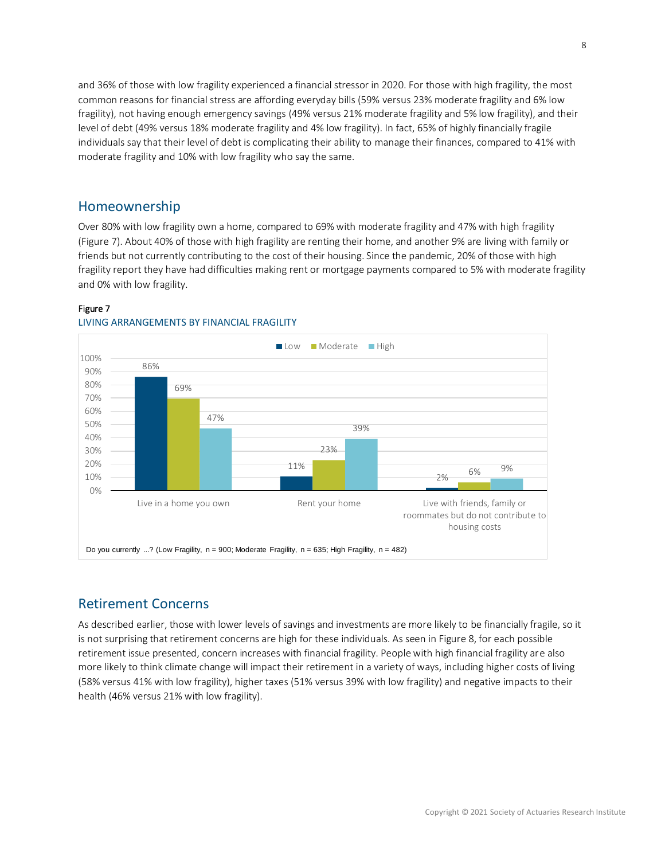and 36% of those with low fragility experienced a financial stressor in 2020. For those with high fragility, the most common reasons for financial stress are affording everyday bills (59% versus 23% moderate fragility and 6% low fragility), not having enough emergency savings (49% versus 21% moderate fragility and 5% low fragility), and their level of debt (49% versus 18% moderate fragility and 4% low fragility). In fact, 65% of highly financially fragile individuals say that their level of debt is complicating their ability to manage their finances, compared to 41% with moderate fragility and 10% with low fragility who say the same.

#### <span id="page-7-0"></span>Homeownership

Over 80% with low fragility own a home, compared to 69% with moderate fragility and 47% with high fragility (Figure 7). About 40% of those with high fragility are renting their home, and another 9% are living with family or friends but not currently contributing to the cost of their housing. Since the pandemic, 20% of those with high fragility report they have had difficulties making rent or mortgage payments compared to 5% with moderate fragility and 0% with low fragility.

#### Figure 7



#### LIVING ARRANGEMENTS BY FINANCIAL FRAGILITY

### <span id="page-7-1"></span>Retirement Concerns

As described earlier, those with lower levels of savings and investments are more likely to be financially fragile, so it is not surprising that retirement concerns are high for these individuals. As seen in Figure 8, for each possible retirement issue presented, concern increases with financial fragility. People with high financial fragility are also more likely to think climate change will impact their retirement in a variety of ways, including higher costs of living (58% versus 41% with low fragility), higher taxes (51% versus 39% with low fragility) and negative impacts to their health (46% versus 21% with low fragility).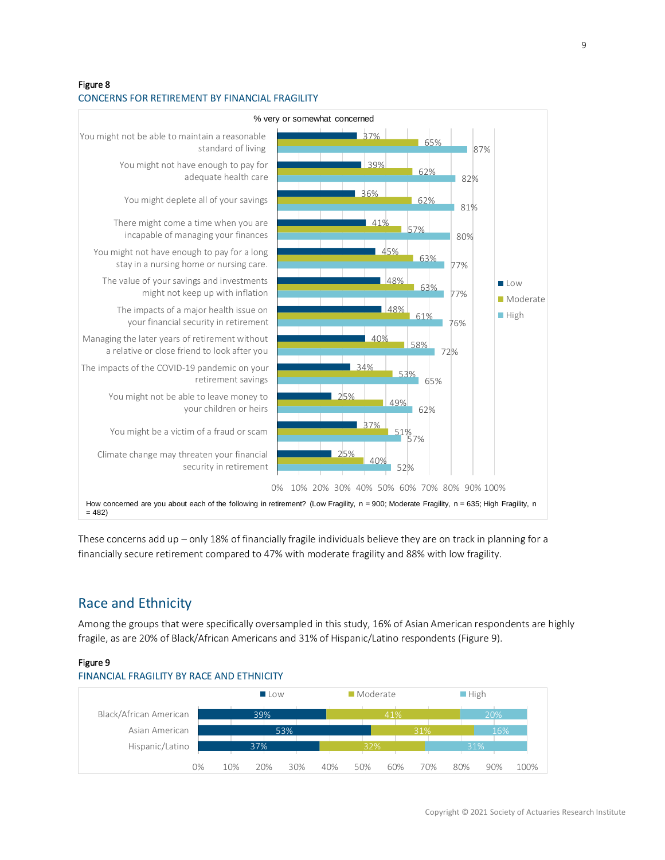#### Figure 8 CONCERNS FOR RETIREMENT BY FINANCIAL FRAGILITY



These concerns add up – only 18% of financially fragile individuals believe they are on track in planning for a financially secure retirement compared to 47% with moderate fragility and 88% with low fragility.

# <span id="page-8-0"></span>Race and Ethnicity

Among the groups that were specifically oversampled in this study, 16% of Asian American respondents are highly fragile, as are 20% of Black/African Americans and 31% of Hispanic/Latino respondents (Figure 9).

#### Figure 9



### FINANCIAL FRAGILITY BY RACE AND ETHNICITY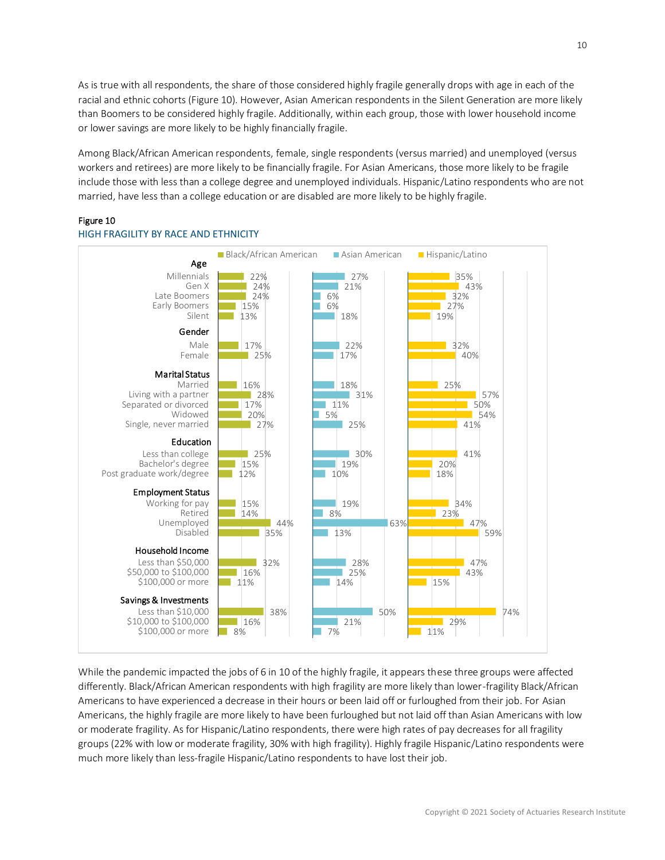As is true with all respondents, the share of those considered highly fragile generally drops with age in each of the racial and ethnic cohorts (Figure 10). However, Asian American respondents in the Silent Generation are more likely than Boomers to be considered highly fragile. Additionally, within each group, those with lower household income or lower savings are more likely to be highly financially fragile.

Among Black/African American respondents, female, single respondents (versus married) and unemployed (versus workers and retirees) are more likely to be financially fragile. For Asian Americans, those more likely to be fragile include those with less than a college degree and unemployed individuals. Hispanic/Latino respondents who are not married, have less than a college education or are disabled are more likely to be highly fragile.

#### Figure 10



#### HIGH FRAGILITY BY RACE AND ETHNICITY

While the pandemic impacted the jobs of 6 in 10 of the highly fragile, it appears these three groups were affected differently. Black/African American respondents with high fragility are more likely than lower-fragility Black/African Americans to have experienced a decrease in their hours or been laid off or furloughed from their job. For Asian Americans, the highly fragile are more likely to have been furloughed but not laid off than Asian Americans with low or moderate fragility. As for Hispanic/Latino respondents, there were high rates of pay decreases for all fragility groups (22% with low or moderate fragility, 30% with high fragility). Highly fragile Hispanic/Latino respondents were much more likely than less-fragile Hispanic/Latino respondents to have lost their job.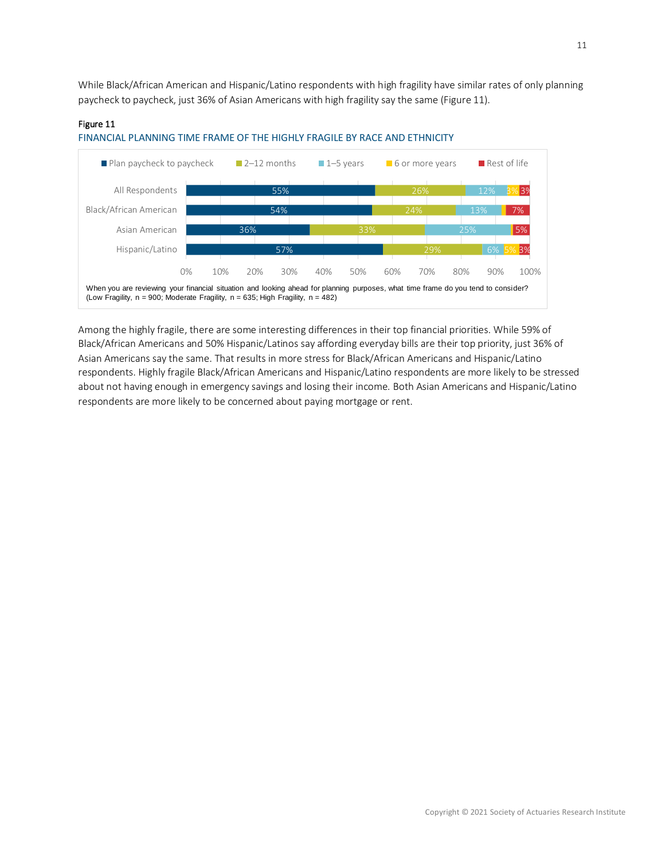While Black/African American and Hispanic/Latino respondents with high fragility have similar rates of only planning paycheck to paycheck, just 36% of Asian Americans with high fragility say the same (Figure 11).

#### Figure 11



#### FINANCIAL PLANNING TIME FRAME OF THE HIGHLY FRAGILE BY RACE AND ETHNICITY

Among the highly fragile, there are some interesting differences in their top financial priorities. While 59% of Black/African Americans and 50% Hispanic/Latinos say affording everyday bills are their top priority, just 36% of Asian Americans say the same. That results in more stress for Black/African Americans and Hispanic/Latino respondents. Highly fragile Black/African Americans and Hispanic/Latino respondents are more likely to be stressed about not having enough in emergency savings and losing their income. Both Asian Americans and Hispanic/Latino respondents are more likely to be concerned about paying mortgage or rent.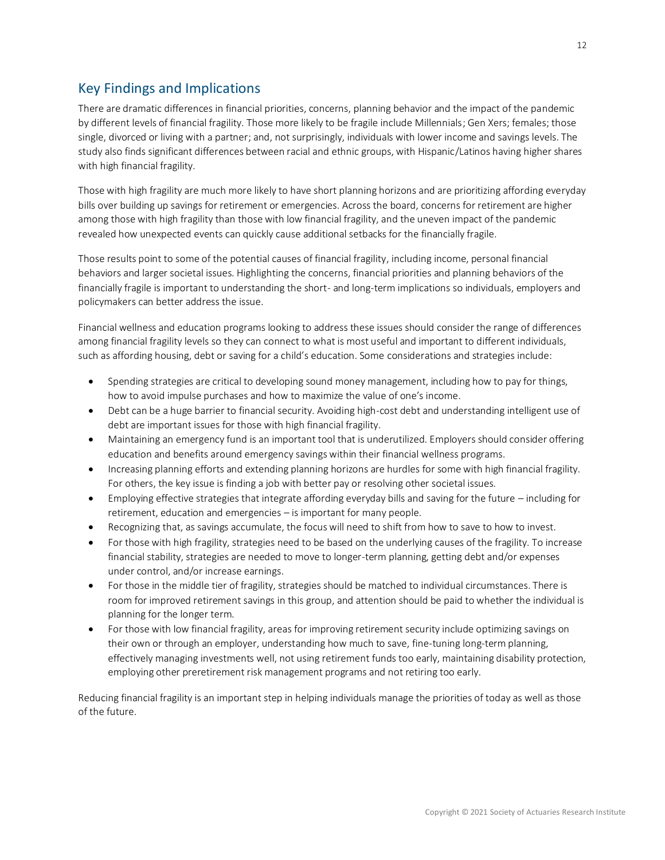# <span id="page-11-0"></span>Key Findings and Implications

There are dramatic differences in financial priorities, concerns, planning behavior and the impact of the pandemic by different levels of financial fragility. Those more likely to be fragile include Millennials; Gen Xers; females; those single, divorced or living with a partner; and, not surprisingly, individuals with lower income and savings levels. The study also finds significant differences between racial and ethnic groups, with Hispanic/Latinos having higher shares with high financial fragility.

Those with high fragility are much more likely to have short planning horizons and are prioritizing affording everyday bills over building up savings for retirement or emergencies. Across the board, concerns for retirement are higher among those with high fragility than those with low financial fragility, and the uneven impact of the pandemic revealed how unexpected events can quickly cause additional setbacks for the financially fragile.

Those results point to some of the potential causes of financial fragility, including income, personal financial behaviors and larger societal issues. Highlighting the concerns, financial priorities and planning behaviors of the financially fragile is important to understanding the short- and long-term implications so individuals, employers and policymakers can better address the issue.

Financial wellness and education programs looking to address these issues should consider the range of differences among financial fragility levels so they can connect to what is most useful and important to different individuals, such as affording housing, debt or saving for a child's education. Some considerations and strategies include:

- Spending strategies are critical to developing sound money management, including how to pay for things, how to avoid impulse purchases and how to maximize the value of one's income.
- Debt can be a huge barrier to financial security. Avoiding high-cost debt and understanding intelligent use of debt are important issues for those with high financial fragility.
- Maintaining an emergency fund is an important tool that is underutilized. Employers should consider offering education and benefits around emergency savings within their financial wellness programs.
- Increasing planning efforts and extending planning horizons are hurdles for some with high financial fragility. For others, the key issue is finding a job with better pay or resolving other societal issues.
- Employing effective strategies that integrate affording everyday bills and saving for the future including for retirement, education and emergencies – is important for many people.
- Recognizing that, as savings accumulate, the focus will need to shift from how to save to how to invest.
- For those with high fragility, strategies need to be based on the underlying causes of the fragility. To increase financial stability, strategies are needed to move to longer-term planning, getting debt and/or expenses under control, and/or increase earnings.
- For those in the middle tier of fragility, strategies should be matched to individual circumstances. There is room for improved retirement savings in this group, and attention should be paid to whether the individual is planning for the longer term.
- For those with low financial fragility, areas for improving retirement security include optimizing savings on their own or through an employer, understanding how much to save, fine-tuning long-term planning, effectively managing investments well, not using retirement funds too early, maintaining disability protection, employing other preretirement risk management programs and not retiring too early.

Reducing financial fragility is an important step in helping individuals manage the priorities of today as well as those of the future.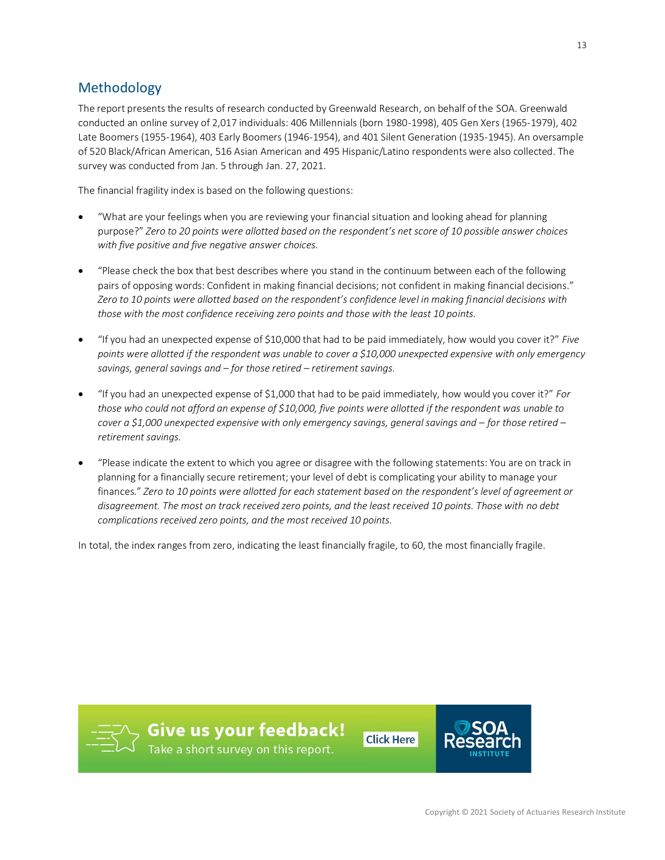# <span id="page-12-0"></span>Methodology

The report presents the results of research conducted by Greenwald Research, on behalf of the SOA. Greenwald conducted an online survey of 2,017 individuals: 406 Millennials (born 1980-1998), 405 Gen Xers (1965-1979), 402 Late Boomers (1955-1964), 403 Early Boomers (1946-1954), and 401 Silent Generation (1935-1945). An oversample of 520 Black/African American, 516 Asian American and 495 Hispanic/Latino respondents were also collected. The survey was conducted from Jan. 5 through Jan. 27, 2021.

The financial fragility index is based on the following questions:

- "What are your feelings when you are reviewing your financial situation and looking ahead for planning purpose?" *Zero to 20 points were allotted based on the respondent's net score of 10 possible answer choices with five positive and five negative answer choices.*
- "Please check the box that best describes where you stand in the continuum between each of the following pairs of opposing words: Confident in making financial decisions; not confident in making financial decisions." *Zero to 10 points were allotted based on the respondent's confidence level in making financial decisions with those with the most confidence receiving zero points and those with the least 10 points.*
- "If you had an unexpected expense of \$10,000 that had to be paid immediately, how would you cover it?" *Five points were allotted if the respondent was unable to cover a \$10,000 unexpected expensive with only emergency savings, general savings and – for those retired – retirement savings.*
- "If you had an unexpected expense of \$1,000 that had to be paid immediately, how would you cover it?" *For those who could not afford an expense of \$10,000, five points were allotted if the respondent was unable to cover a \$1,000 unexpected expensive with only emergency savings, general savings and – for those retired – retirement savings.*
- "Please indicate the extent to which you agree or disagree with the following statements: You are on track in planning for a financially secure retirement; your level of debt is complicating your ability to manage your finances." *Zero to 10 points were allotted for each statement based on the respondent's level of agreement or disagreement. The most on track received zero points, and the least received 10 points. Those with no debt complications received zero points, and the most received 10 points.*

In total, the index ranges from zero, indicating the least financially fragile, to 60, the most financially fragile.



**Give us your feedback!**<br>Take a short survey on this report.

**Click Here** 



13